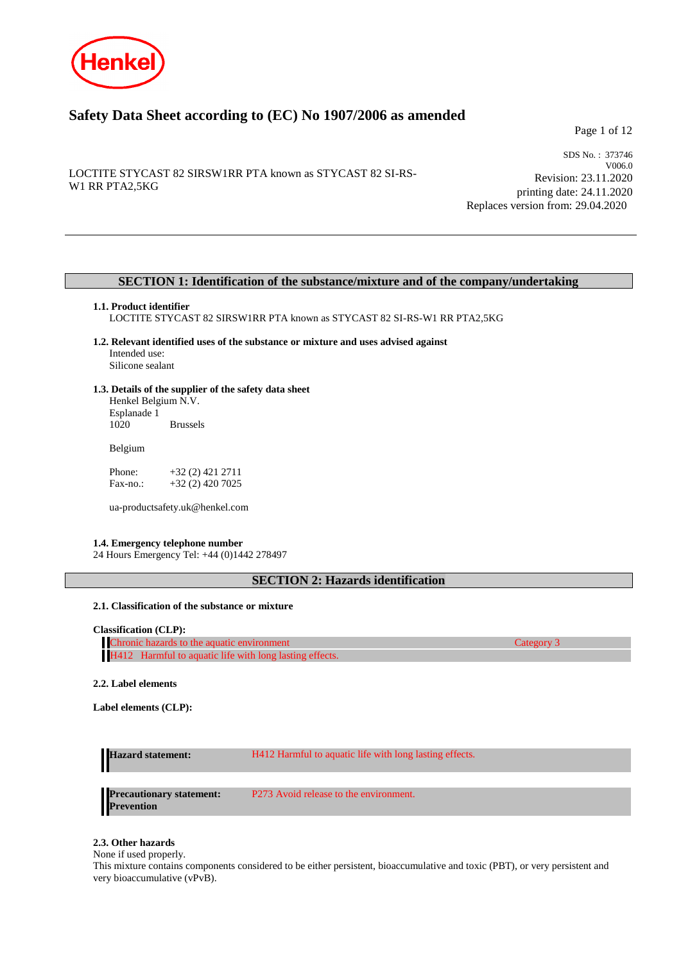

# **Safety Data Sheet according to (EC) No 1907/2006 as amended**

Page 1 of 12

LOCTITE STYCAST 82 SIRSW1RR PTA known as STYCAST 82 SI-RS-W1 RR PTA2,5KG

SDS No. : 373746 V006.0 Revision: 23.11.2020 printing date: 24.11.2020 Replaces version from: 29.04.2020

# **SECTION 1: Identification of the substance/mixture and of the company/undertaking**

### **1.1. Product identifier**

LOCTITE STYCAST 82 SIRSW1RR PTA known as STYCAST 82 SI-RS-W1 RR PTA2,5KG

- **1.2. Relevant identified uses of the substance or mixture and uses advised against** Intended use: Silicone sealant
- **1.3. Details of the supplier of the safety data sheet** Henkel Belgium N.V.

Esplanade 1 **Brussels** 

Belgium

Phone: +32 (2) 421 2711<br>Fax-no.: +32 (2) 420 7025 +32 (2) 420 7025

ua-productsafety.uk@henkel.com

### **1.4. Emergency telephone number**

24 Hours Emergency Tel: +44 (0)1442 278497

**SECTION 2: Hazards identification**

# **2.1. Classification of the substance or mixture**

### **Classification (CLP):**

Chronic hazards to the aquatic environment Category 3 H412 Harmful to aquatic life with long lasting effects

**2.2. Label elements**

**Label elements (CLP):**

| <b>Hazard statement:</b>                             | H412 Harmful to aquatic life with long lasting effects. |
|------------------------------------------------------|---------------------------------------------------------|
|                                                      |                                                         |
| <b>Precautionary statement:</b><br><b>Prevention</b> | P273 Avoid release to the environment.                  |

# **2.3. Other hazards**

None if used properly.

This mixture contains components considered to be either persistent, bioaccumulative and toxic (PBT), or very persistent and very bioaccumulative (vPvB).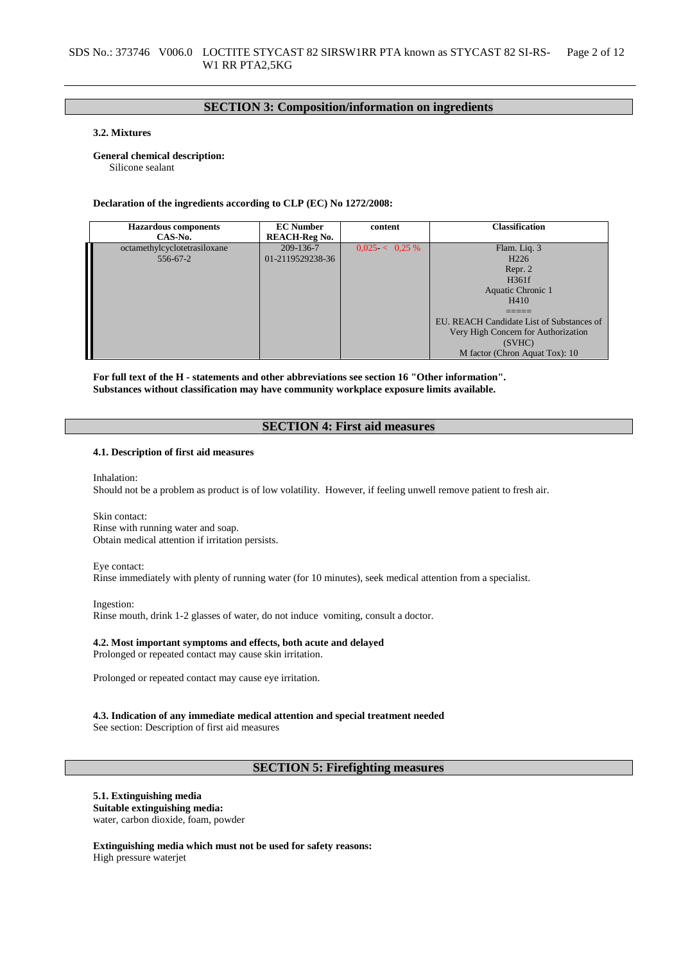# **SECTION 3: Composition/information on ingredients**

# **3.2. Mixtures**

### **General chemical description:**

Silicone sealant

#### **Declaration of the ingredients according to CLP (EC) No 1272/2008:**

| <b>Hazardous</b> components<br>CAS-No.   | <b>EC Number</b><br><b>REACH-Reg No.</b> | content           | <b>Classification</b>                                                                                                                                                                                             |
|------------------------------------------|------------------------------------------|-------------------|-------------------------------------------------------------------------------------------------------------------------------------------------------------------------------------------------------------------|
| octamethylcyclotetrasiloxane<br>556-67-2 | 209-136-7<br>01-2119529238-36            | $0.025 < 0.25 \%$ | Flam. Liq. 3<br>H <sub>226</sub><br>Repr. 2<br>H361f<br>Aquatic Chronic 1<br>H410<br>EU. REACH Candidate List of Substances of<br>Very High Concern for Authorization<br>(SVHC)<br>M factor (Chron Aquat Tox): 10 |

**For full text of the H - statements and other abbreviations see section 16 "Other information". Substances without classification may have community workplace exposure limits available.**

# **SECTION 4: First aid measures**

### **4.1. Description of first aid measures**

Inhalation:

Should not be a problem as product is of low volatility. However, if feeling unwell remove patient to fresh air.

Skin contact: Rinse with running water and soap. Obtain medical attention if irritation persists.

# Eye contact:

Rinse immediately with plenty of running water (for 10 minutes), seek medical attention from a specialist.

Ingestion: Rinse mouth, drink 1-2 glasses of water, do not induce vomiting, consult a doctor.

### **4.2. Most important symptoms and effects, both acute and delayed**

Prolonged or repeated contact may cause skin irritation.

Prolonged or repeated contact may cause eye irritation.

#### **4.3. Indication of any immediate medical attention and special treatment needed** See section: Description of first aid measures

# **SECTION 5: Firefighting measures**

# **5.1. Extinguishing media**

**Suitable extinguishing media:** water, carbon dioxide, foam, powder

**Extinguishing media which must not be used for safety reasons:** High pressure waterjet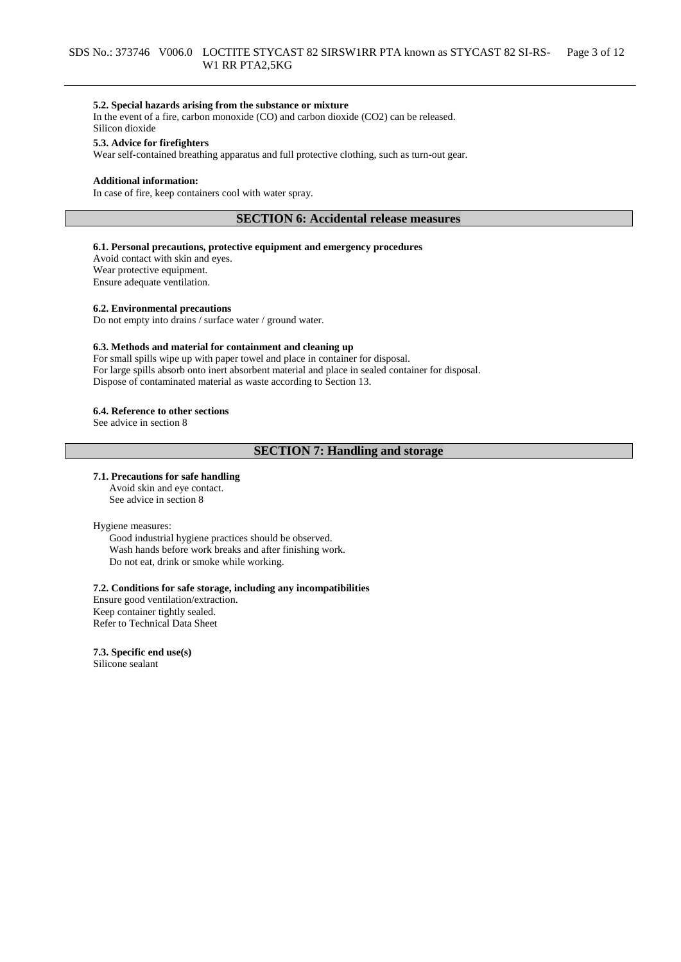### **5.2. Special hazards arising from the substance or mixture**

In the event of a fire, carbon monoxide (CO) and carbon dioxide (CO2) can be released. Silicon dioxide

### **5.3. Advice for firefighters**

Wear self-contained breathing apparatus and full protective clothing, such as turn-out gear.

#### **Additional information:**

In case of fire, keep containers cool with water spray.

# **SECTION 6: Accidental release measures**

### **6.1. Personal precautions, protective equipment and emergency procedures**

Avoid contact with skin and eyes. Wear protective equipment. Ensure adequate ventilation.

### **6.2. Environmental precautions**

Do not empty into drains / surface water / ground water.

### **6.3. Methods and material for containment and cleaning up**

For small spills wipe up with paper towel and place in container for disposal. For large spills absorb onto inert absorbent material and place in sealed container for disposal. Dispose of contaminated material as waste according to Section 13.

#### **6.4. Reference to other sections**

See advice in section 8

# **SECTION 7: Handling and storage**

#### **7.1. Precautions for safe handling**

Avoid skin and eye contact. See advice in section 8

#### Hygiene measures:

Good industrial hygiene practices should be observed. Wash hands before work breaks and after finishing work. Do not eat, drink or smoke while working.

# **7.2. Conditions for safe storage, including any incompatibilities**

Ensure good ventilation/extraction. Keep container tightly sealed. Refer to Technical Data Sheet

**7.3. Specific end use(s)** Silicone sealant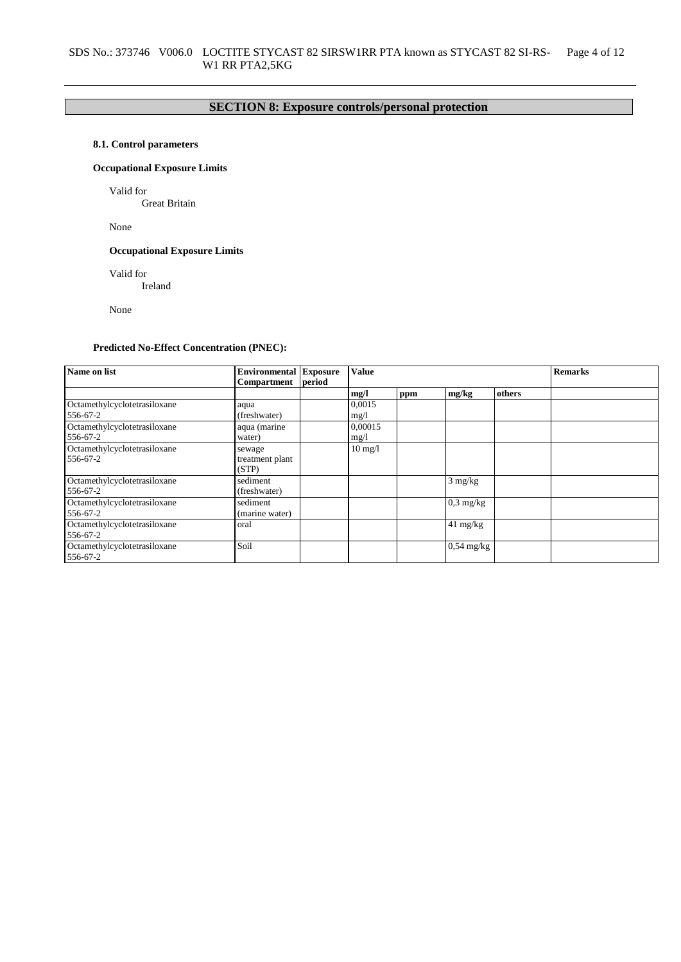# **SECTION 8: Exposure controls/personal protection**

# **8.1. Control parameters**

# **Occupational Exposure Limits**

Valid for

Great Britain

None

# **Occupational Exposure Limits**

Valid for

Ireland

None

# **Predicted No-Effect Concentration (PNEC):**

| Name on list                             | <b>Environmental Exposure</b>      |        | <b>Value</b>      |     |                    |        | <b>Remarks</b> |
|------------------------------------------|------------------------------------|--------|-------------------|-----|--------------------|--------|----------------|
|                                          | Compartment                        | period |                   |     |                    |        |                |
|                                          |                                    |        | mg/l              | ppm | mg/kg              | others |                |
| Octamethylcyclotetrasiloxane             | aqua                               |        | 0.0015            |     |                    |        |                |
| 556-67-2                                 | (freshwater)                       |        | mg/1              |     |                    |        |                |
| Octamethylcyclotetrasiloxane             | aqua (marine                       |        | 0,00015           |     |                    |        |                |
| 556-67-2                                 | water)                             |        | mg/1              |     |                    |        |                |
| Octamethylcyclotetrasiloxane<br>556-67-2 | sewage<br>treatment plant<br>(STP) |        | $10 \text{ mg}/l$ |     |                    |        |                |
| Octamethylcyclotetrasiloxane<br>556-67-2 | sediment<br>(freshwater)           |        |                   |     | $3 \text{ mg/kg}$  |        |                |
| Octamethylcyclotetrasiloxane<br>556-67-2 | sediment<br>(marine water)         |        |                   |     | $0,3$ mg/kg        |        |                |
| Octamethylcyclotetrasiloxane<br>556-67-2 | oral                               |        |                   |     | $41 \text{ mg/kg}$ |        |                |
| Octamethylcyclotetrasiloxane<br>556-67-2 | Soil                               |        |                   |     | $0,54$ mg/kg       |        |                |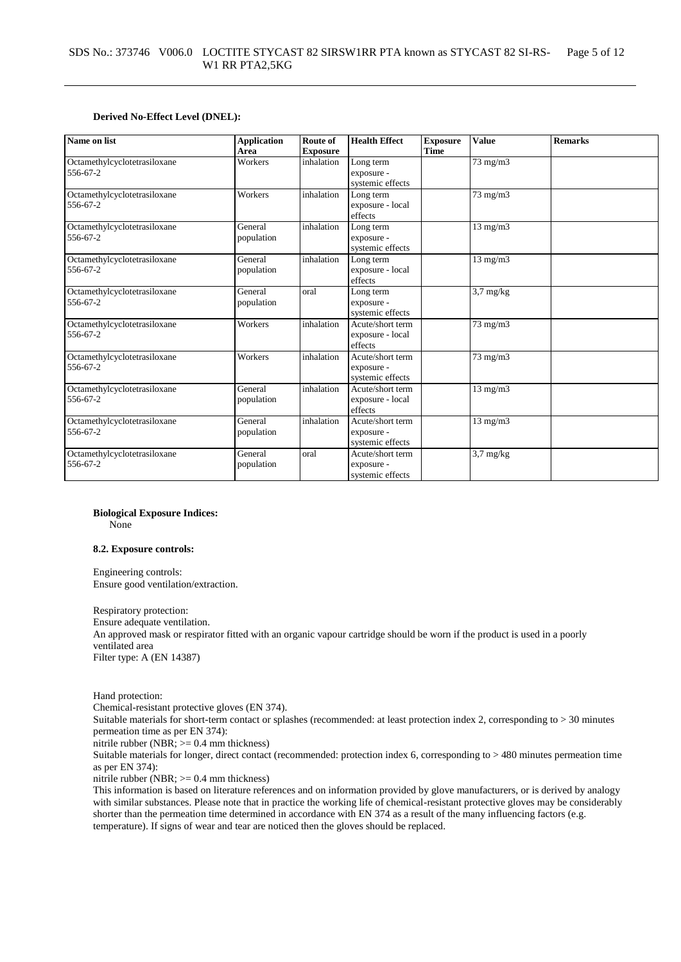### **Derived No-Effect Level (DNEL):**

| Name on list                             | <b>Application</b><br>Area | Route of<br><b>Exposure</b> | <b>Health Effect</b>                               | <b>Exposure</b><br><b>Time</b> | <b>Value</b>        | <b>Remarks</b> |
|------------------------------------------|----------------------------|-----------------------------|----------------------------------------------------|--------------------------------|---------------------|----------------|
| Octamethylcyclotetrasiloxane<br>556-67-2 | Workers                    | inhalation                  | Long term<br>exposure -<br>systemic effects        |                                | 73 mg/m3            |                |
| Octamethylcyclotetrasiloxane<br>556-67-2 | Workers                    | inhalation                  | Long term<br>exposure - local<br>effects           |                                | 73 mg/m3            |                |
| Octamethylcyclotetrasiloxane<br>556-67-2 | General<br>population      | inhalation                  | Long term<br>exposure -<br>systemic effects        |                                | $13$ mg/m $3$       |                |
| Octamethylcyclotetrasiloxane<br>556-67-2 | General<br>population      | inhalation                  | Long term<br>exposure - local<br>effects           |                                | $13$ mg/m $3$       |                |
| Octamethylcyclotetrasiloxane<br>556-67-2 | General<br>population      | oral                        | Long term<br>exposure -<br>systemic effects        |                                | $3.7 \text{ mg/kg}$ |                |
| Octamethylcyclotetrasiloxane<br>556-67-2 | Workers                    | inhalation                  | Acute/short term<br>exposure - local<br>effects    |                                | $73$ mg/m $3$       |                |
| Octamethylcyclotetrasiloxane<br>556-67-2 | Workers                    | inhalation                  | Acute/short term<br>exposure -<br>systemic effects |                                | 73 mg/m3            |                |
| Octamethylcyclotetrasiloxane<br>556-67-2 | General<br>population      | inhalation                  | Acute/short term<br>exposure - local<br>effects    |                                | $13$ mg/m $3$       |                |
| Octamethylcyclotetrasiloxane<br>556-67-2 | General<br>population      | inhalation                  | Acute/short term<br>exposure -<br>systemic effects |                                | $13$ mg/m $3$       |                |
| Octamethylcyclotetrasiloxane<br>556-67-2 | General<br>population      | oral                        | Acute/short term<br>exposure -<br>systemic effects |                                | $3.7 \text{ mg/kg}$ |                |

**Biological Exposure Indices:** None

#### **8.2. Exposure controls:**

Engineering controls: Ensure good ventilation/extraction.

Respiratory protection: Ensure adequate ventilation. An approved mask or respirator fitted with an organic vapour cartridge should be worn if the product is used in a poorly ventilated area Filter type: A (EN 14387)

Hand protection:

Chemical-resistant protective gloves (EN 374).

Suitable materials for short-term contact or splashes (recommended: at least protection index 2, corresponding to > 30 minutes permeation time as per EN 374):

nitrile rubber (NBR; >= 0.4 mm thickness)

Suitable materials for longer, direct contact (recommended: protection index 6, corresponding to > 480 minutes permeation time as per EN 374):

nitrile rubber (NBR; >= 0.4 mm thickness)

This information is based on literature references and on information provided by glove manufacturers, or is derived by analogy with similar substances. Please note that in practice the working life of chemical-resistant protective gloves may be considerably shorter than the permeation time determined in accordance with EN 374 as a result of the many influencing factors (e.g. temperature). If signs of wear and tear are noticed then the gloves should be replaced.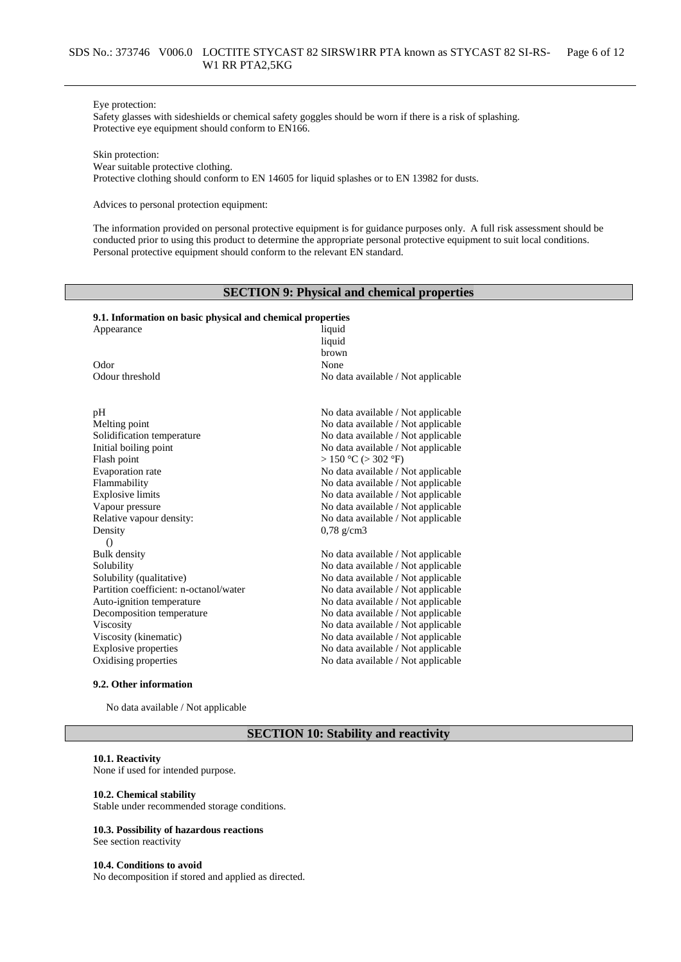#### Eye protection:

Safety glasses with sideshields or chemical safety goggles should be worn if there is a risk of splashing. Protective eye equipment should conform to EN166.

Skin protection:

Wear suitable protective clothing.

Protective clothing should conform to EN 14605 for liquid splashes or to EN 13982 for dusts.

Advices to personal protection equipment:

The information provided on personal protective equipment is for guidance purposes only. A full risk assessment should be conducted prior to using this product to determine the appropriate personal protective equipment to suit local conditions. Personal protective equipment should conform to the relevant EN standard.

# **SECTION 9: Physical and chemical properties**

# **9.1. Information on basic physical and chemical properties**

| Appearance                             | liquid                             |
|----------------------------------------|------------------------------------|
|                                        | liquid                             |
|                                        | brown                              |
| Odor                                   | None                               |
| Odour threshold                        | No data available / Not applicable |
| pH                                     | No data available / Not applicable |
| Melting point                          | No data available / Not applicable |
| Solidification temperature             | No data available / Not applicable |
| Initial boiling point                  | No data available / Not applicable |
| Flash point                            | $> 150$ °C ( $> 302$ °F)           |
| Evaporation rate                       | No data available / Not applicable |
| Flammability                           | No data available / Not applicable |
| <b>Explosive limits</b>                | No data available / Not applicable |
| Vapour pressure                        | No data available / Not applicable |
| Relative vapour density:               | No data available / Not applicable |
| Density                                | $0,78$ g/cm3                       |
| $\Omega$                               |                                    |
| Bulk density                           | No data available / Not applicable |
| Solubility                             | No data available / Not applicable |
| Solubility (qualitative)               | No data available / Not applicable |
| Partition coefficient: n-octanol/water | No data available / Not applicable |
| Auto-ignition temperature              | No data available / Not applicable |
| Decomposition temperature              | No data available / Not applicable |
| Viscosity                              | No data available / Not applicable |
| Viscosity (kinematic)                  | No data available / Not applicable |
| <b>Explosive properties</b>            | No data available / Not applicable |
| Oxidising properties                   | No data available / Not applicable |

#### **9.2. Other information**

No data available / Not applicable

# **SECTION 10: Stability and reactivity**

#### **10.1. Reactivity**

None if used for intended purpose.

#### **10.2. Chemical stability**

Stable under recommended storage conditions.

# **10.3. Possibility of hazardous reactions**

See section reactivity

#### **10.4. Conditions to avoid**

No decomposition if stored and applied as directed.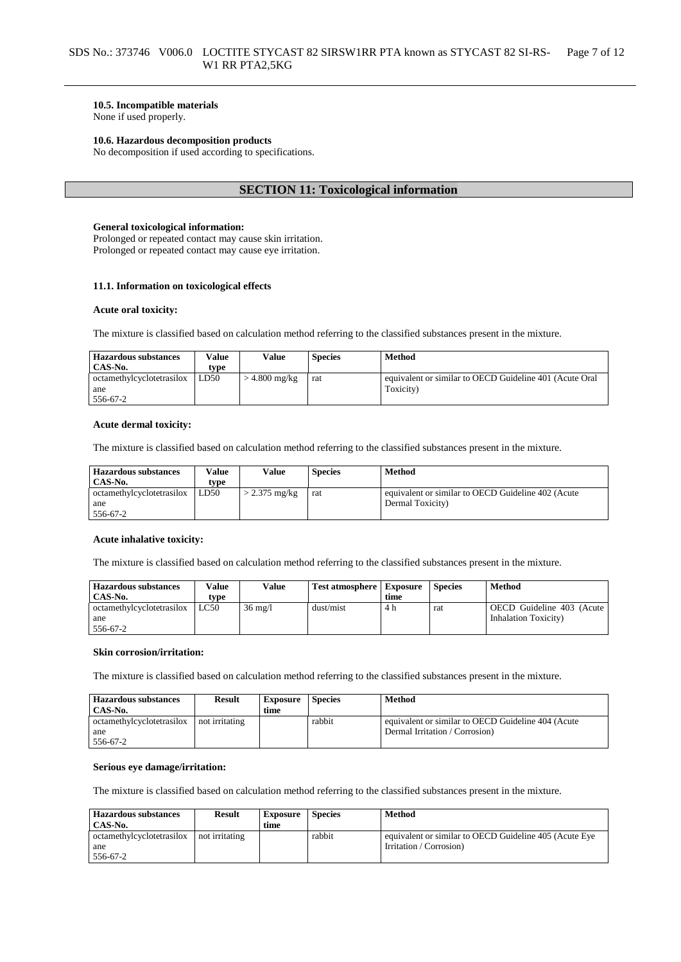# **10.5. Incompatible materials**

None if used properly.

### **10.6. Hazardous decomposition products**

No decomposition if used according to specifications.

# **SECTION 11: Toxicological information**

#### **General toxicological information:**

Prolonged or repeated contact may cause skin irritation. Prolonged or repeated contact may cause eye irritation.

### **11.1. Information on toxicological effects**

#### **Acute oral toxicity:**

The mixture is classified based on calculation method referring to the classified substances present in the mixture.

| <b>Hazardous substances</b><br>CAS-No.       | Value<br>type | Value           | <b>Species</b> | Method                                                               |
|----------------------------------------------|---------------|-----------------|----------------|----------------------------------------------------------------------|
| octamethylcyclotetrasilox<br>ane<br>556-67-2 | LD50          | $>$ 4.800 mg/kg | rat            | equivalent or similar to OECD Guideline 401 (Acute Oral<br>Toxicity) |

#### **Acute dermal toxicity:**

The mixture is classified based on calculation method referring to the classified substances present in the mixture.

| <b>Hazardous substances</b> | Value | Value           | <b>Species</b> | Method                                             |
|-----------------------------|-------|-----------------|----------------|----------------------------------------------------|
| CAS-No.                     | tvpe  |                 |                |                                                    |
| octamethylcyclotetrasilox   | LD50  | $> 2.375$ mg/kg | rat            | equivalent or similar to OECD Guideline 402 (Acute |
| ane                         |       |                 |                | Dermal Toxicity)                                   |
| 556-67-2                    |       |                 |                |                                                    |

### **Acute inhalative toxicity:**

The mixture is classified based on calculation method referring to the classified substances present in the mixture.

| <b>Hazardous substances</b> | Value | Value             | <b>Test atmosphere</b> Exposure |      | <b>Species</b> | Method                       |
|-----------------------------|-------|-------------------|---------------------------------|------|----------------|------------------------------|
| CAS-No.                     | type  |                   |                                 | time |                |                              |
| octamethylcyclotetrasilox   | LC50  | $36 \text{ mg}/1$ | dust/mist                       | 4 h  | rat            | OECD Guideline 403 (Acute)   |
| ane                         |       |                   |                                 |      |                | <b>Inhalation Toxicity</b> ) |
| 556-67-2                    |       |                   |                                 |      |                |                              |

#### **Skin corrosion/irritation:**

The mixture is classified based on calculation method referring to the classified substances present in the mixture.

| <b>Hazardous substances</b><br>CAS-No. | <b>Result</b>  | <b>Exposure</b><br>time | <b>Species</b> | Method                                             |
|----------------------------------------|----------------|-------------------------|----------------|----------------------------------------------------|
| octamethylcyclotetrasilox              | not irritating |                         | rabbit         | equivalent or similar to OECD Guideline 404 (Acute |
| ane                                    |                |                         |                | Dermal Irritation / Corrosion)                     |
| 556-67-2                               |                |                         |                |                                                    |

# **Serious eye damage/irritation:**

The mixture is classified based on calculation method referring to the classified substances present in the mixture.

| <b>Hazardous substances</b><br>CAS-No. | <b>Result</b>  | <b>Exposure</b><br>time | <b>Species</b> | Method                                                 |
|----------------------------------------|----------------|-------------------------|----------------|--------------------------------------------------------|
| octamethylcyclotetrasilox              | not irritating |                         | rabbit         | equivalent or similar to OECD Guideline 405 (Acute Eye |
| ane                                    |                |                         |                | Irritation / Corrosion)                                |
| 556-67-2                               |                |                         |                |                                                        |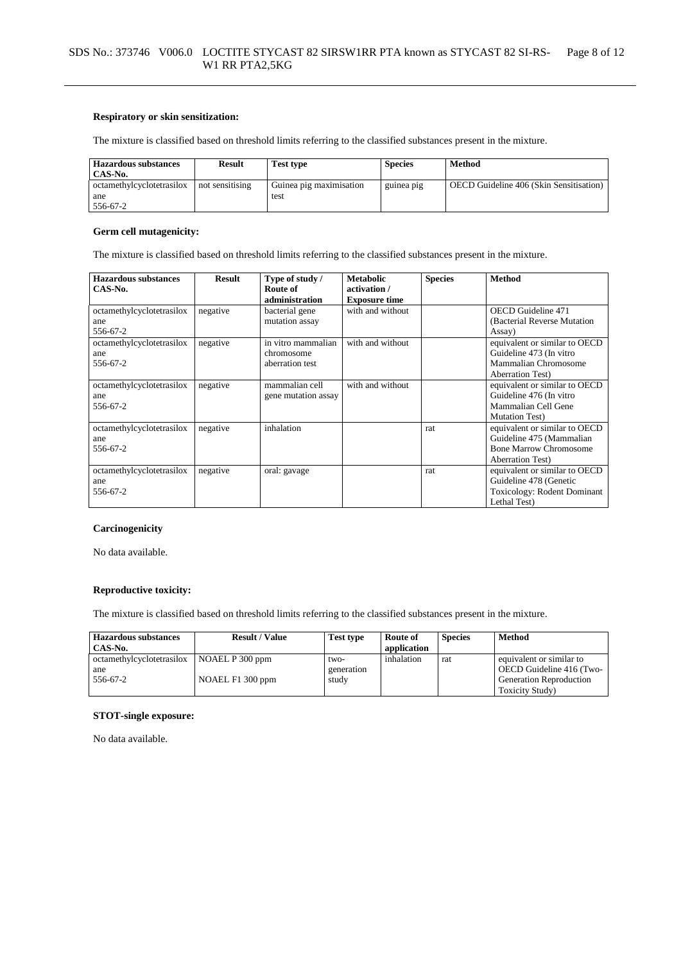### **Respiratory or skin sensitization:**

The mixture is classified based on threshold limits referring to the classified substances present in the mixture.

| <b>Hazardous substances</b><br>CAS-No. | <b>Result</b>   | <b>Test type</b>        | <b>Species</b> | Method                                  |
|----------------------------------------|-----------------|-------------------------|----------------|-----------------------------------------|
| octamethylcyclotetrasilox              | not sensitising | Guinea pig maximisation | guinea pig     | OECD Guideline 406 (Skin Sensitisation) |
| ane                                    |                 | test                    |                |                                         |
| 556-67-2                               |                 |                         |                |                                         |

# **Germ cell mutagenicity:**

The mixture is classified based on threshold limits referring to the classified substances present in the mixture.

| <b>Hazardous substances</b><br>CAS-No. | <b>Result</b> | Type of study /<br>Route of | <b>Metabolic</b><br>activation / | <b>Species</b> | <b>Method</b>                      |
|----------------------------------------|---------------|-----------------------------|----------------------------------|----------------|------------------------------------|
|                                        |               | administration              | <b>Exposure time</b>             |                |                                    |
| octamethylcyclotetrasilox              | negative      | bacterial gene              | with and without                 |                | <b>OECD</b> Guideline 471          |
| ane                                    |               | mutation assay              |                                  |                | (Bacterial Reverse Mutation        |
| 556-67-2                               |               |                             |                                  |                | Assay)                             |
| octamethylcyclotetrasilox              | negative      | in vitro mammalian          | with and without                 |                | equivalent or similar to OECD      |
| ane                                    |               | chromosome                  |                                  |                | Guideline 473 (In vitro            |
| 556-67-2                               |               | aberration test             |                                  |                | Mammalian Chromosome               |
|                                        |               |                             |                                  |                | <b>Aberration Test</b> )           |
| octamethylcyclotetrasilox              | negative      | mammalian cell              | with and without                 |                | equivalent or similar to OECD      |
| ane                                    |               | gene mutation assay         |                                  |                | Guideline 476 (In vitro            |
| 556-67-2                               |               |                             |                                  |                | Mammalian Cell Gene                |
|                                        |               |                             |                                  |                | <b>Mutation Test</b> )             |
| octamethylcyclotetrasilox              | negative      | inhalation                  |                                  | rat            | equivalent or similar to OECD      |
| ane                                    |               |                             |                                  |                | Guideline 475 (Mammalian           |
| 556-67-2                               |               |                             |                                  |                | <b>Bone Marrow Chromosome</b>      |
|                                        |               |                             |                                  |                | <b>Aberration Test</b> )           |
| octamethylcyclotetrasilox              | negative      | oral: gavage                |                                  | rat            | equivalent or similar to OECD      |
| ane                                    |               |                             |                                  |                | Guideline 478 (Genetic             |
| 556-67-2                               |               |                             |                                  |                | <b>Toxicology: Rodent Dominant</b> |
|                                        |               |                             |                                  |                | Lethal Test)                       |

### **Carcinogenicity**

No data available.

### **Reproductive toxicity:**

The mixture is classified based on threshold limits referring to the classified substances present in the mixture.

| <b>Hazardous substances</b> | <b>Result / Value</b> | <b>Test type</b> | Route of    | <b>Species</b> | Method                         |
|-----------------------------|-----------------------|------------------|-------------|----------------|--------------------------------|
| CAS-No.                     |                       |                  | application |                |                                |
| octamethylcyclotetrasilox   | NOAEL P 300 ppm       | two-             | inhalation  | rat            | equivalent or similar to       |
| ane                         |                       | generation       |             |                | OECD Guideline 416 (Two-       |
| 556-67-2                    | NOAEL F1 300 ppm      | study            |             |                | <b>Generation Reproduction</b> |
|                             |                       |                  |             |                | Toxicity Study)                |

### **STOT-single exposure:**

No data available.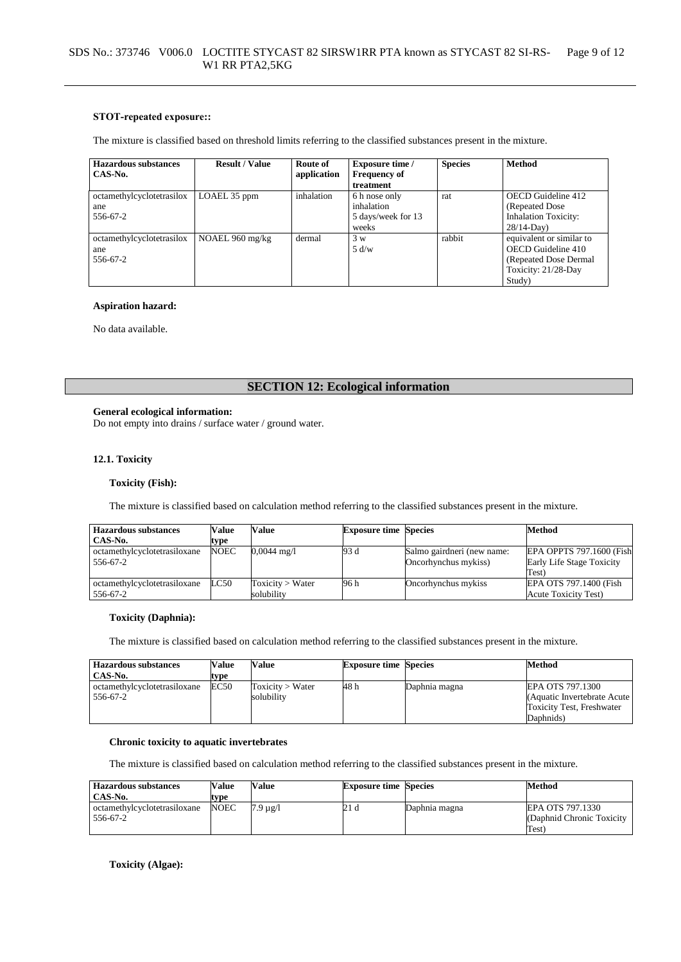### **STOT-repeated exposure::**

The mixture is classified based on threshold limits referring to the classified substances present in the mixture.

| <b>Hazardous substances</b> | <b>Result / Value</b> | Route of    | <b>Exposure time /</b> | <b>Species</b> | <b>Method</b>               |
|-----------------------------|-----------------------|-------------|------------------------|----------------|-----------------------------|
| CAS-No.                     |                       | application | <b>Frequency of</b>    |                |                             |
|                             |                       |             | treatment              |                |                             |
| octamethylcyclotetrasilox   | LOAEL 35 ppm          | inhalation  | 6 h nose only          | rat            | OECD Guideline 412          |
| ane                         |                       |             | inhalation             |                | (Repeated Dose)             |
| 556-67-2                    |                       |             | 5 days/week for 13     |                | <b>Inhalation Toxicity:</b> |
|                             |                       |             | weeks                  |                | $28/14$ -Day)               |
| octamethylcyclotetrasilox   | NOAEL 960 mg/kg       | dermal      | 3 w                    | rabbit         | equivalent or similar to    |
| ane                         |                       |             | 5 d/w                  |                | OECD Guideline 410          |
| 556-67-2                    |                       |             |                        |                | (Repeated Dose Dermal       |
|                             |                       |             |                        |                | Toxicity: 21/28-Day         |
|                             |                       |             |                        |                | Study)                      |

# **Aspiration hazard:**

No data available.

# **SECTION 12: Ecological information**

#### **General ecological information:**

Do not empty into drains / surface water / ground water.

# **12.1. Toxicity**

#### **Toxicity (Fish):**

The mixture is classified based on calculation method referring to the classified substances present in the mixture.

| <b>Hazardous substances</b>  | <b>Value</b> | Value                 | <b>Exposure time Species</b> |                            | Method                      |
|------------------------------|--------------|-----------------------|------------------------------|----------------------------|-----------------------------|
| CAS-No.                      | tvpe         |                       |                              |                            |                             |
| octamethylcyclotetrasiloxane | <b>NOEC</b>  | $0,0044 \text{ mg}/1$ | 93 d                         | Salmo gairdneri (new name: | EPA OPPTS 797.1600 (Fish    |
| 556-67-2                     |              |                       |                              | Oncorhynchus mykiss)       | Early Life Stage Toxicity   |
|                              |              |                       |                              |                            | Test)                       |
| octamethylcyclotetrasiloxane | LC50         | Toxicity > Water      | 96 h                         | Oncorhynchus mykiss        | EPA OTS 797.1400 (Fish      |
| 556-67-2                     |              | solubilitv            |                              |                            | <b>Acute Toxicity Test)</b> |

# **Toxicity (Daphnia):**

The mixture is classified based on calculation method referring to the classified substances present in the mixture.

| <b>Hazardous substances</b><br>CAS-No.   | Value<br>type | Value                          | <b>Exposure time Species</b> |               | Method                                                                                     |
|------------------------------------------|---------------|--------------------------------|------------------------------|---------------|--------------------------------------------------------------------------------------------|
| octamethylcyclotetrasiloxane<br>556-67-2 | EC50          | Toxicity > Water<br>solubility | 48 h                         | Daphnia magna | EPA OTS 797.1300<br>(Aquatic Invertebrate Acute)<br>Toxicity Test, Freshwater<br>Daphnids) |

### **Chronic toxicity to aquatic invertebrates**

The mixture is classified based on calculation method referring to the classified substances present in the mixture.

| <b>Hazardous substances</b><br>CAS-No.   | Value<br>type | Value              | <b>Exposure time Species</b> |               | Method                                                  |
|------------------------------------------|---------------|--------------------|------------------------------|---------------|---------------------------------------------------------|
| octamethylcyclotetrasiloxane<br>556-67-2 | <b>NOEC</b>   | $7.9 \text{ µg}/l$ | 21 d                         | Daphnia magna | EPA OTS 797.1330<br>(Daphnid Chronic Toxicity)<br>Test) |

**Toxicity (Algae):**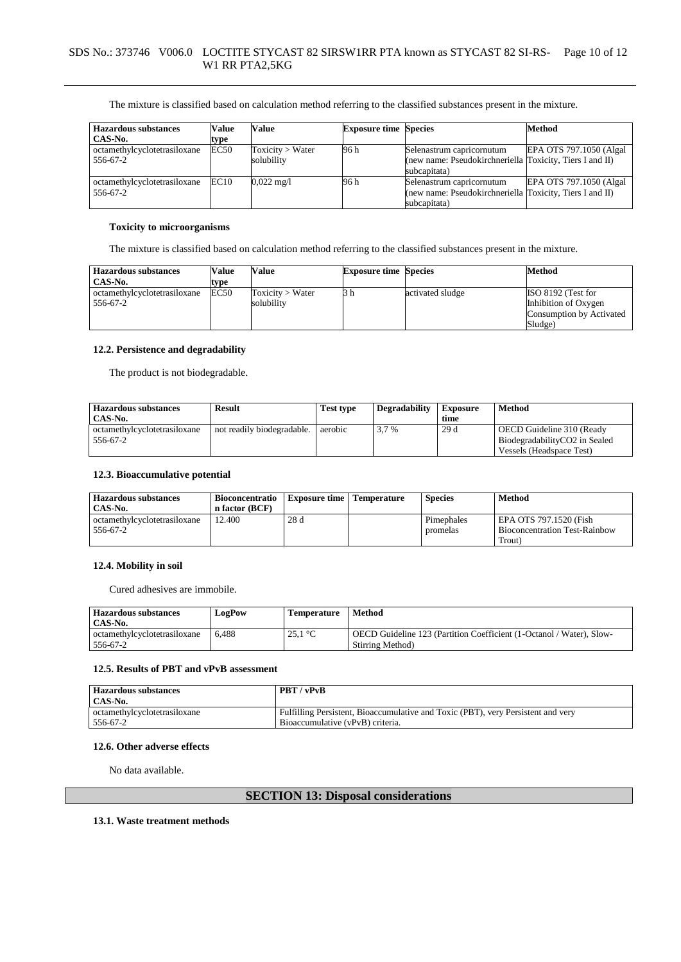| <b>Hazardous substances</b>  | Value | Value                | <b>Exposure time Species</b> |                                                          | <b>Method</b>            |
|------------------------------|-------|----------------------|------------------------------|----------------------------------------------------------|--------------------------|
| CAS-No.                      | type  |                      |                              |                                                          |                          |
| octamethylcyclotetrasiloxane | EC50  | Toxicity > Water     | 96 h                         | Selenastrum capricornutum                                | EPA OTS 797.1050 (Algal) |
| 556-67-2                     |       | solubility           |                              | (new name: Pseudokirchneriella Toxicity, Tiers I and II) |                          |
|                              |       |                      |                              | subcapitata)                                             |                          |
| octamethylcyclotetrasiloxane | EC10  | $0.022 \text{ mg/l}$ | 96 h                         | Selenastrum capricornutum                                | EPA OTS 797.1050 (Algal  |
| 556-67-2                     |       |                      |                              | (new name: Pseudokirchneriella Toxicity, Tiers I and II) |                          |
|                              |       |                      |                              | subcapitata)                                             |                          |

### **Toxicity to microorganisms**

The mixture is classified based on calculation method referring to the classified substances present in the mixture.

| <b>Hazardous substances</b><br>CAS-No.   | Value<br>type | Value                          | <b>Exposure time Species</b> |                  | Method                                                                            |
|------------------------------------------|---------------|--------------------------------|------------------------------|------------------|-----------------------------------------------------------------------------------|
| octamethylcyclotetrasiloxane<br>556-67-2 | EC50          | Toxicity > Water<br>solubility | 3 h                          | activated sludge | ISO 8192 (Test for<br>Inhibition of Oxygen<br>Consumption by Activated<br>Sludge) |

### **12.2. Persistence and degradability**

The product is not biodegradable.

| <b>Hazardous substances</b>              | <b>Result</b>              | <b>Test type</b> | <b>Degradability</b> | <b>Exposure</b> | <b>Method</b>                                                                          |
|------------------------------------------|----------------------------|------------------|----------------------|-----------------|----------------------------------------------------------------------------------------|
| CAS-No.                                  |                            |                  |                      | time            |                                                                                        |
| octamethylcyclotetrasiloxane<br>556-67-2 | not readily biodegradable. | aerobic          | 3.7 %                | 29d             | OECD Guideline 310 (Ready<br>BiodegradabilityCO2 in Sealed<br>Vessels (Headspace Test) |

### **12.3. Bioaccumulative potential**

| <b>Hazardous substances</b>  | Bioconcentratio | <b>Exposure time</b> | <b>Temperature</b> | <b>Species</b> | <b>Method</b>                        |
|------------------------------|-----------------|----------------------|--------------------|----------------|--------------------------------------|
| CAS-No.                      | n factor (BCF)  |                      |                    |                |                                      |
| octamethylcyclotetrasiloxane | 12.400          | 28d                  |                    | Pimephales     | EPA OTS 797.1520 (Fish               |
| 556-67-2                     |                 |                      |                    | promelas       | <b>Bioconcentration Test-Rainbow</b> |
|                              |                 |                      |                    |                | Trout)                               |

# **12.4. Mobility in soil**

Cured adhesives are immobile.

| Hazardous substances         | <b>LogPow</b> | <b>Temperature</b>        | <b>Method</b>                                                        |
|------------------------------|---------------|---------------------------|----------------------------------------------------------------------|
| CAS-No.                      |               |                           |                                                                      |
| octamethylcyclotetrasiloxane | 6.488         | 25.1 $\mathrm{^{\circ}C}$ | OECD Guideline 123 (Partition Coefficient (1-Octanol / Water), Slow- |
| 556-67-2                     |               |                           | Stirring Method)                                                     |

# **12.5. Results of PBT and vPvB assessment**

| <b>Hazardous substances</b>  | PBT / vPvB                                                                       |
|------------------------------|----------------------------------------------------------------------------------|
| CAS-No.                      |                                                                                  |
| octamethylcyclotetrasiloxane | Fulfilling Persistent, Bioaccumulative and Toxic (PBT), very Persistent and very |
| 556-67-2                     | Bioaccumulative (vPvB) criteria.                                                 |

### **12.6. Other adverse effects**

No data available.

# **SECTION 13: Disposal considerations**

# **13.1. Waste treatment methods**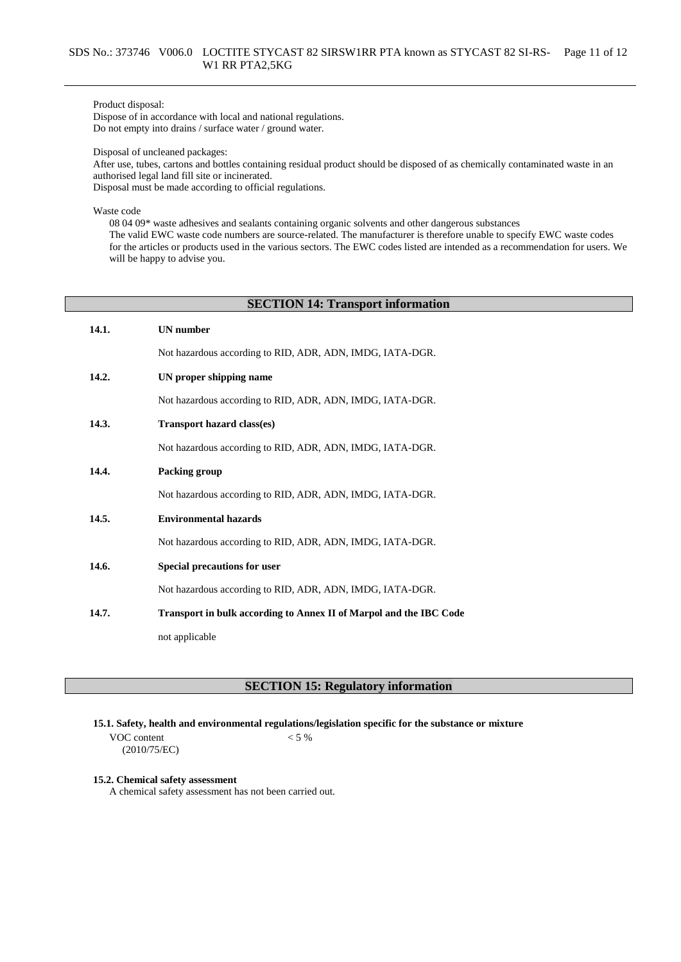### Product disposal:

Dispose of in accordance with local and national regulations. Do not empty into drains / surface water / ground water.

Disposal of uncleaned packages:

After use, tubes, cartons and bottles containing residual product should be disposed of as chemically contaminated waste in an authorised legal land fill site or incinerated.

Disposal must be made according to official regulations.

Waste code

08 04 09\* waste adhesives and sealants containing organic solvents and other dangerous substances The valid EWC waste code numbers are source-related. The manufacturer is therefore unable to specify EWC waste codes for the articles or products used in the various sectors. The EWC codes listed are intended as a recommendation for users. We will be happy to advise you.

### **SECTION 14: Transport information**

| 14.1. | <b>UN</b> number                                                   |
|-------|--------------------------------------------------------------------|
|       | Not hazardous according to RID, ADR, ADN, IMDG, IATA-DGR.          |
| 14.2. | UN proper shipping name                                            |
|       | Not hazardous according to RID, ADR, ADN, IMDG, IATA-DGR.          |
| 14.3. | <b>Transport hazard class(es)</b>                                  |
|       | Not hazardous according to RID, ADR, ADN, IMDG, IATA-DGR.          |
| 14.4. | Packing group                                                      |
|       | Not hazardous according to RID, ADR, ADN, IMDG, IATA-DGR.          |
| 14.5. | <b>Environmental hazards</b>                                       |
|       | Not hazardous according to RID, ADR, ADN, IMDG, IATA-DGR.          |
| 14.6. | Special precautions for user                                       |
|       | Not hazardous according to RID, ADR, ADN, IMDG, IATA-DGR.          |
| 14.7. | Transport in bulk according to Annex II of Marpol and the IBC Code |
|       | not applicable                                                     |

# **SECTION 15: Regulatory information**

**15.1. Safety, health and environmental regulations/legislation specific for the substance or mixture**

VOC content (2010/75/EC)  $< 5 %$ 

**15.2. Chemical safety assessment**

A chemical safety assessment has not been carried out.